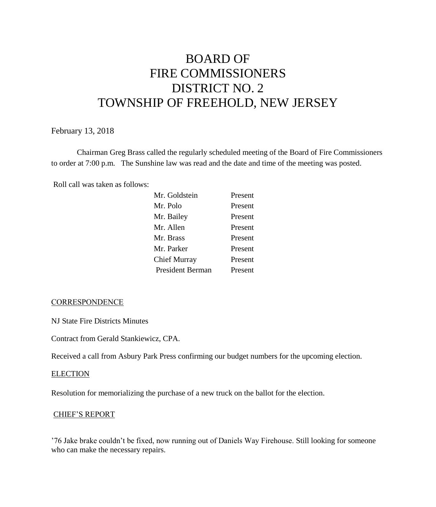# BOARD OF FIRE COMMISSIONERS DISTRICT NO. 2 TOWNSHIP OF FREEHOLD, NEW JERSEY

## February 13, 2018

Chairman Greg Brass called the regularly scheduled meeting of the Board of Fire Commissioners to order at 7:00 p.m. The Sunshine law was read and the date and time of the meeting was posted.

Roll call was taken as follows:

| Mr. Goldstein    | Present |
|------------------|---------|
| Mr. Polo         | Present |
| Mr. Bailey       | Present |
| Mr. Allen        | Present |
| Mr. Brass        | Present |
| Mr. Parker       | Present |
| Chief Murray     | Present |
| President Berman | Present |
|                  |         |

#### **CORRESPONDENCE**

NJ State Fire Districts Minutes

Contract from Gerald Stankiewicz, CPA.

Received a call from Asbury Park Press confirming our budget numbers for the upcoming election.

#### **ELECTION**

Resolution for memorializing the purchase of a new truck on the ballot for the election.

#### CHIEF'S REPORT

'76 Jake brake couldn't be fixed, now running out of Daniels Way Firehouse. Still looking for someone who can make the necessary repairs.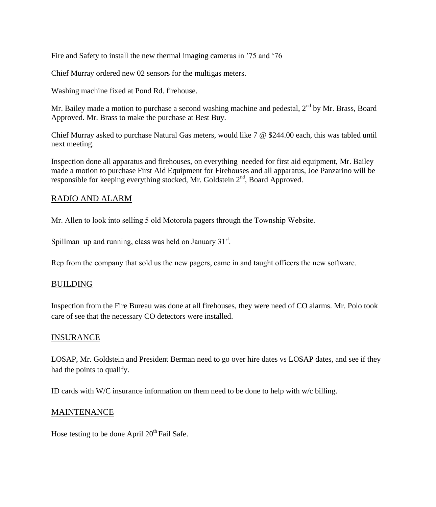Fire and Safety to install the new thermal imaging cameras in '75 and '76

Chief Murray ordered new 02 sensors for the multigas meters.

Washing machine fixed at Pond Rd. firehouse.

Mr. Bailey made a motion to purchase a second washing machine and pedestal, 2<sup>nd</sup> by Mr. Brass, Board Approved. Mr. Brass to make the purchase at Best Buy.

Chief Murray asked to purchase Natural Gas meters, would like 7 @ \$244.00 each, this was tabled until next meeting.

Inspection done all apparatus and firehouses, on everything needed for first aid equipment, Mr. Bailey made a motion to purchase First Aid Equipment for Firehouses and all apparatus, Joe Panzarino will be responsible for keeping everything stocked, Mr. Goldstein  $2<sup>nd</sup>$ , Board Approved.

## RADIO AND ALARM

Mr. Allen to look into selling 5 old Motorola pagers through the Township Website.

Spillman up and running, class was held on January  $31<sup>st</sup>$ .

Rep from the company that sold us the new pagers, came in and taught officers the new software.

## BUILDING

Inspection from the Fire Bureau was done at all firehouses, they were need of CO alarms. Mr. Polo took care of see that the necessary CO detectors were installed.

## INSURANCE

LOSAP, Mr. Goldstein and President Berman need to go over hire dates vs LOSAP dates, and see if they had the points to qualify.

ID cards with W/C insurance information on them need to be done to help with w/c billing.

## MAINTENANCE

Hose testing to be done April  $20<sup>th</sup>$  Fail Safe.